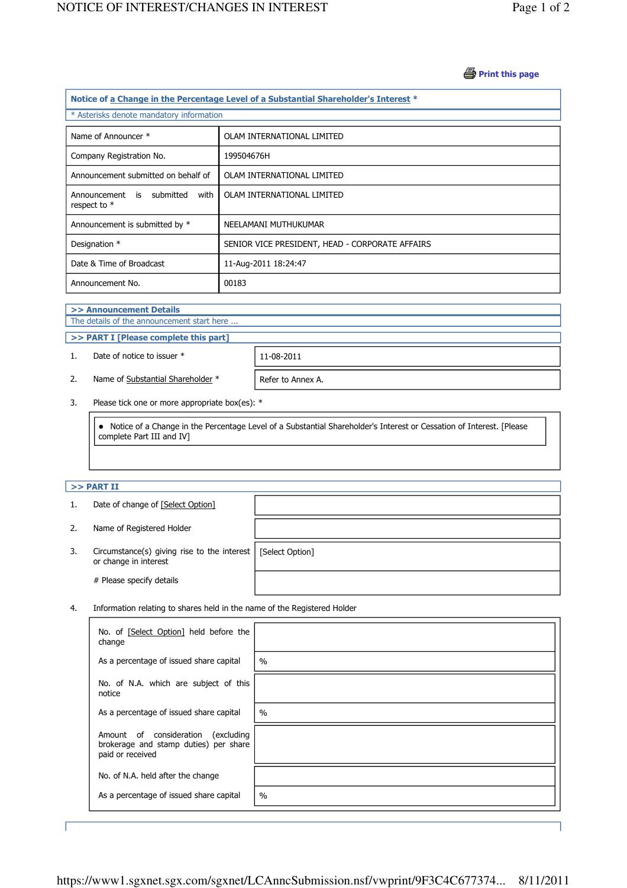#### **B** Print this page

| Notice of a Change in the Percentage Level of a Substantial Shareholder's Interest * |                                                 |  |  |  |  |
|--------------------------------------------------------------------------------------|-------------------------------------------------|--|--|--|--|
| * Asterisks denote mandatory information                                             |                                                 |  |  |  |  |
|                                                                                      |                                                 |  |  |  |  |
| Name of Announcer *                                                                  | OLAM INTERNATIONAL LIMITED                      |  |  |  |  |
| Company Registration No.                                                             | 199504676H                                      |  |  |  |  |
| Announcement submitted on behalf of                                                  | OLAM INTERNATIONAL LIMITED                      |  |  |  |  |
| Announcement is submitted<br>with<br>respect to *                                    | OLAM INTERNATIONAL LIMITED                      |  |  |  |  |
| Announcement is submitted by *                                                       | NEELAMANI MUTHUKUMAR                            |  |  |  |  |
| Designation *                                                                        | SENIOR VICE PRESIDENT, HEAD - CORPORATE AFFAIRS |  |  |  |  |
| Date & Time of Broadcast                                                             | 11-Aug-2011 18:24:47                            |  |  |  |  |
| Announcement No.                                                                     | 00183                                           |  |  |  |  |

#### >> Announcement Details

j

J

The details of the announcement start here ...

# >> PART I [Please complete this part]

1. Date of notice to issuer \* 11-08-2011

2. Name of Substantial Shareholder  $*$  Refer to Annex A.

3. Please tick one or more appropriate box(es): \*

 Notice of a Change in the Percentage Level of a Substantial Shareholder's Interest or Cessation of Interest. [Please complete Part III and IV]

## $>>$  PART II

j

|    | Date of change of [Select Option]                                        |                 |
|----|--------------------------------------------------------------------------|-----------------|
| 2. | Name of Registered Holder                                                |                 |
| 3. | Circumstance(s) giving rise to the interest $ $<br>or change in interest | [Select Option] |
|    | # Please specify details                                                 |                 |

4. Information relating to shares held in the name of the Registered Holder

| No. of [Select Option] held before the<br>change                                                   |      |
|----------------------------------------------------------------------------------------------------|------|
| As a percentage of issued share capital                                                            | $\%$ |
| No. of N.A. which are subject of this<br>notice                                                    |      |
| As a percentage of issued share capital                                                            | $\%$ |
| Amount of consideration<br>(excluding<br>brokerage and stamp duties) per share<br>paid or received |      |
| No. of N.A. held after the change                                                                  |      |
| As a percentage of issued share capital                                                            | $\%$ |

J